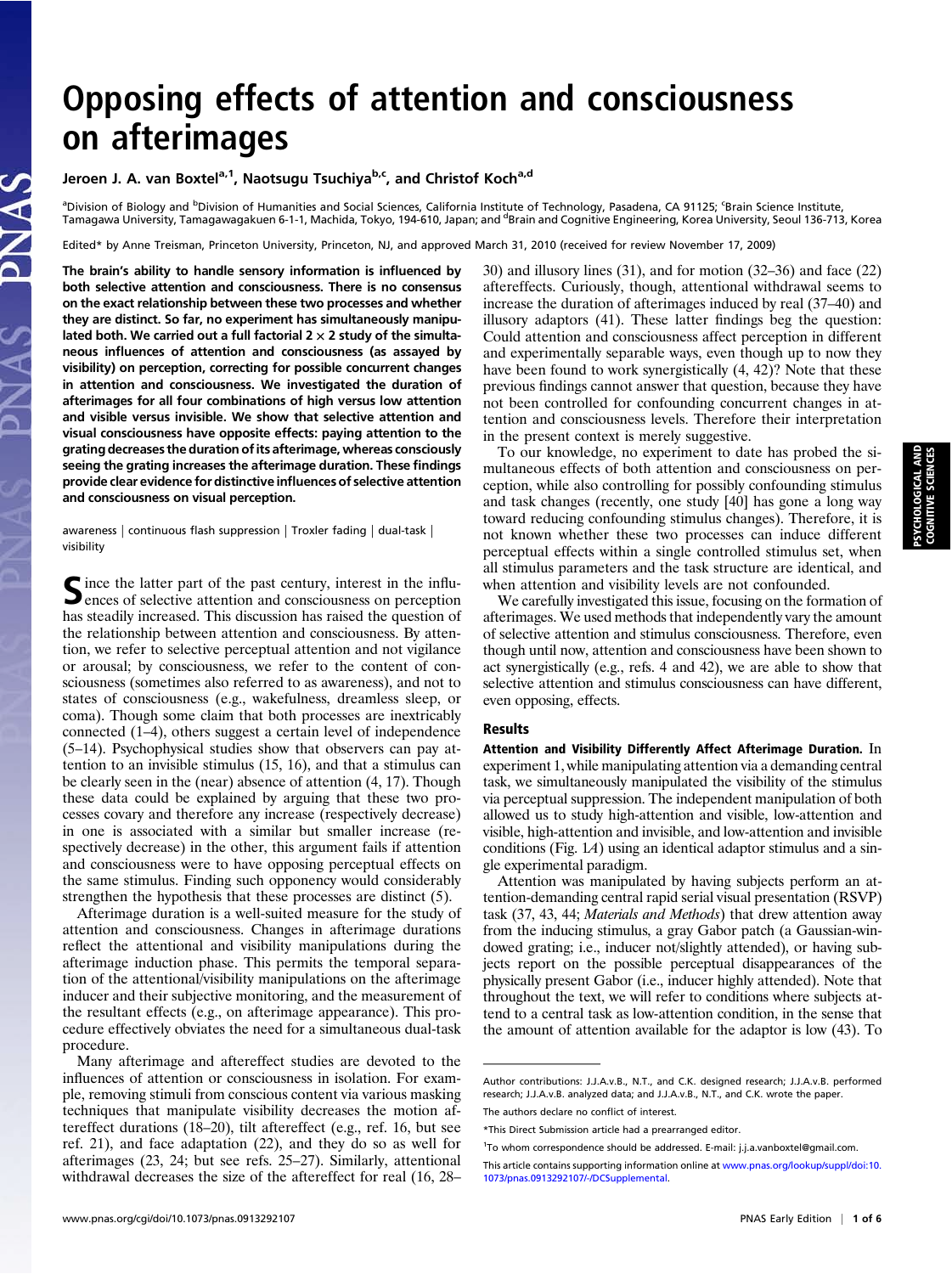# Opposing effects of attention and consciousness on afterimages

## Jeroen J. A. van Boxtel<sup>a,1</sup>, Naotsugu Tsuchiya<sup>b,c</sup>, and Christof Koch<sup>a,d</sup>

<sup>a</sup>Division of Biology and <sup>b</sup>Division of Humanities and Social Sciences, California Institute of Technology, Pasadena, CA 91125; <sup>c</sup>Brain Science Institute,<br>Tamagawa University, Tamagawagakuen 6-1-1, Machida, Tokyo, 194-6

Edited\* by Anne Treisman, Princeton University, Princeton, NJ, and approved March 31, 2010 (received for review November 17, 2009)

The brain's ability to handle sensory information is influenced by both selective attention and consciousness. There is no consensus on the exact relationship between these two processes and whether they are distinct. So far, no experiment has simultaneously manipulated both. We carried out a full factorial  $2 \times 2$  study of the simultaneous influences of attention and consciousness (as assayed by visibility) on perception, correcting for possible concurrent changes in attention and consciousness. We investigated the duration of afterimages for all four combinations of high versus low attention and visible versus invisible. We show that selective attention and visual consciousness have opposite effects: paying attention to the grating decreases the duration of its afterimage, whereas consciously seeing the grating increases the afterimage duration. These findings provide clear evidence for distinctive influences of selective attention and consciousness on visual perception.

awareness | continuous flash suppression | Troxler fading | dual-task | visibility

Since the latter part of the past century, interest in the influ-<br>ences of selective attention and consciousness on perception has steadily increased. This discussion has raised the question of the relationship between attention and consciousness. By attention, we refer to selective perceptual attention and not vigilance or arousal; by consciousness, we refer to the content of consciousness (sometimes also referred to as awareness), and not to states of consciousness (e.g., wakefulness, dreamless sleep, or coma). Though some claim that both processes are inextricably connected (1–4), others suggest a certain level of independence (5–14). Psychophysical studies show that observers can pay attention to an invisible stimulus (15, 16), and that a stimulus can be clearly seen in the (near) absence of attention (4, 17). Though these data could be explained by arguing that these two processes covary and therefore any increase (respectively decrease) in one is associated with a similar but smaller increase (respectively decrease) in the other, this argument fails if attention and consciousness were to have opposing perceptual effects on the same stimulus. Finding such opponency would considerably strengthen the hypothesis that these processes are distinct (5).

Afterimage duration is a well-suited measure for the study of attention and consciousness. Changes in afterimage durations reflect the attentional and visibility manipulations during the afterimage induction phase. This permits the temporal separation of the attentional/visibility manipulations on the afterimage inducer and their subjective monitoring, and the measurement of the resultant effects (e.g., on afterimage appearance). This procedure effectively obviates the need for a simultaneous dual-task procedure.

Many afterimage and aftereffect studies are devoted to the influences of attention or consciousness in isolation. For example, removing stimuli from conscious content via various masking techniques that manipulate visibility decreases the motion aftereffect durations (18–20), tilt aftereffect (e.g., ref. 16, but see ref. 21), and face adaptation (22), and they do so as well for afterimages (23, 24; but see refs. 25–27). Similarly, attentional withdrawal decreases the size of the aftereffect for real (16, 28–

30) and illusory lines (31), and for motion (32–36) and face (22) aftereffects. Curiously, though, attentional withdrawal seems to increase the duration of afterimages induced by real (37–40) and illusory adaptors (41). These latter findings beg the question: Could attention and consciousness affect perception in different and experimentally separable ways, even though up to now they have been found to work synergistically (4, 42)? Note that these previous findings cannot answer that question, because they have not been controlled for confounding concurrent changes in attention and consciousness levels. Therefore their interpretation in the present context is merely suggestive.

To our knowledge, no experiment to date has probed the simultaneous effects of both attention and consciousness on perception, while also controlling for possibly confounding stimulus and task changes (recently, one study [40] has gone a long way toward reducing confounding stimulus changes). Therefore, it is not known whether these two processes can induce different perceptual effects within a single controlled stimulus set, when all stimulus parameters and the task structure are identical, and when attention and visibility levels are not confounded.

We carefully investigated this issue, focusing on the formation of afterimages. We used methods that independently vary the amount of selective attention and stimulus consciousness. Therefore, even though until now, attention and consciousness have been shown to act synergistically (e.g., refs. 4 and 42), we are able to show that selective attention and stimulus consciousness can have different, even opposing, effects.

### Results

Attention and Visibility Differently Affect Afterimage Duration. In experiment 1, while manipulating attention via a demanding central task, we simultaneously manipulated the visibility of the stimulus via perceptual suppression. The independent manipulation of both allowed us to study high-attention and visible, low-attention and visible, high-attention and invisible, and low-attention and invisible conditions (Fig. 1A) using an identical adaptor stimulus and a single experimental paradigm.

Attention was manipulated by having subjects perform an attention-demanding central rapid serial visual presentation (RSVP) task (37, 43, 44; Materials and Methods) that drew attention away from the inducing stimulus, a gray Gabor patch (a Gaussian-windowed grating; i.e., inducer not/slightly attended), or having subjects report on the possible perceptual disappearances of the physically present Gabor (i.e., inducer highly attended). Note that throughout the text, we will refer to conditions where subjects attend to a central task as low-attention condition, in the sense that the amount of attention available for the adaptor is low (43). To

Author contributions: J.J.A.v.B., N.T., and C.K. designed research; J.J.A.v.B. performed research; J.J.A.v.B. analyzed data; and J.J.A.v.B., N.T., and C.K. wrote the paper.

The authors declare no conflict of interest

<sup>\*</sup>This Direct Submission article had a prearranged editor.

<sup>&</sup>lt;sup>1</sup>To whom correspondence should be addressed. E-mail: [j.j.a.vanboxtel@gmail.com](mailto:j.j.a.vanboxtel@gmail.com).

This article contains supporting information online at [www.pnas.org/lookup/suppl/doi:10.](http://www.pnas.org/lookup/suppl/doi:10.1073/pnas.0913292107/-/DCSupplemental) [1073/pnas.0913292107/-/DCSupplemental](http://www.pnas.org/lookup/suppl/doi:10.1073/pnas.0913292107/-/DCSupplemental).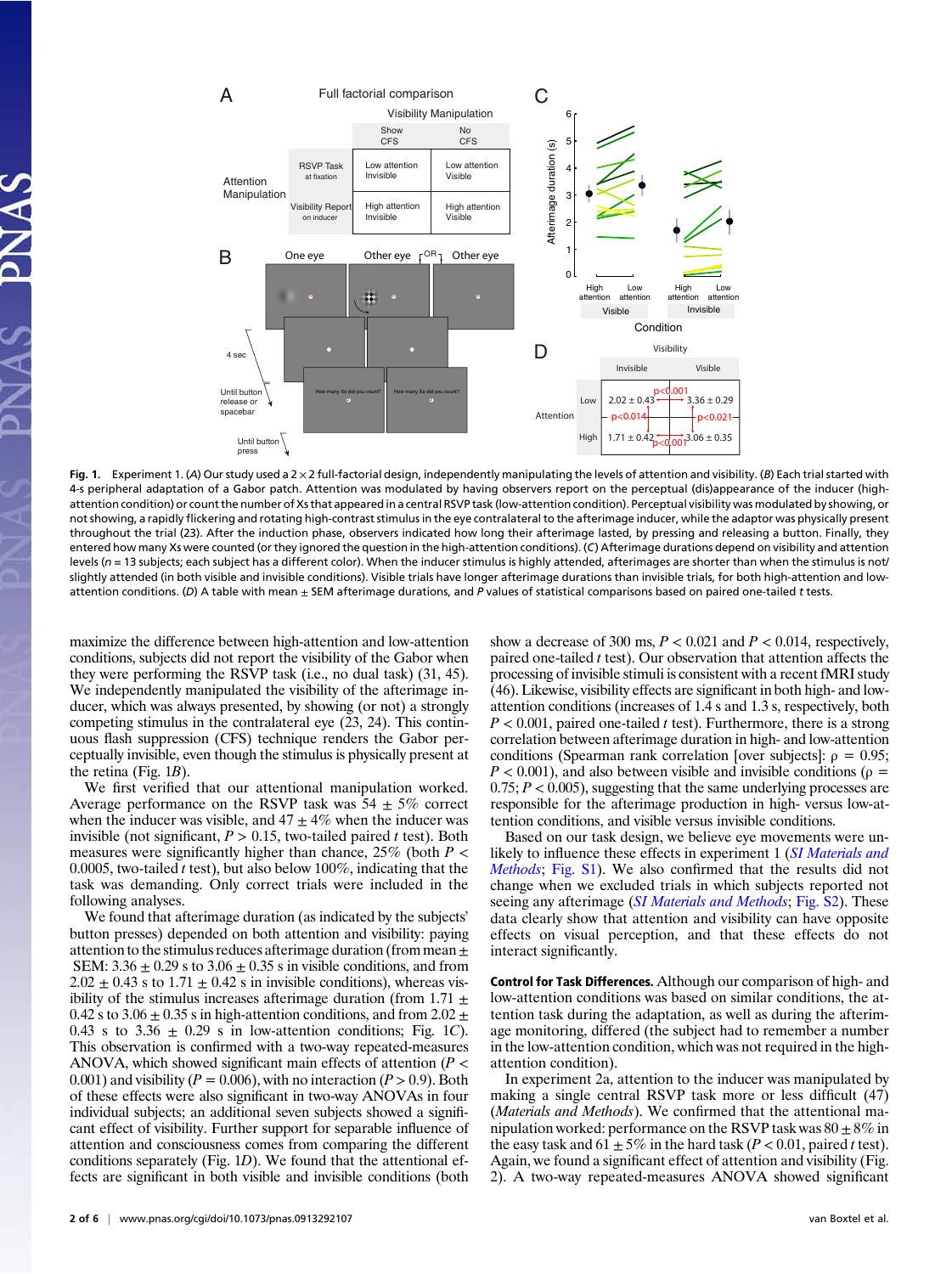

Fig. 1. Experiment 1. (A) Our study used a 2 × 2 full-factorial design, independently manipulating the levels of attention and visibility. (B) Each trial started with 4-s peripheral adaptation of a Gabor patch. Attention was modulated by having observers report on the perceptual (dis)appearance of the inducer (highattention condition) or count the number of Xs that appeared in a central RSVP task (low-attention condition). Perceptual visibility was modulated by showing, or not showing, a rapidly flickering and rotating high-contrast stimulus in the eye contralateral to the afterimage inducer, while the adaptor was physically present throughout the trial (23). After the induction phase, observers indicated how long their afterimage lasted, by pressing and releasing a button. Finally, they entered how many Xs were counted (or they ignored the question in the high-attention conditions). (C) Afterimage durations depend on visibility and attention levels ( $n = 13$  subjects; each subject has a different color). When the inducer stimulus is highly attended, afterimages are shorter than when the stimulus is not/ slightly attended (in both visible and invisible conditions). Visible trials have longer afterimage durations than invisible trials, for both high-attention and lowattention conditions. (D) A table with mean  $\pm$  SEM afterimage durations, and P values of statistical comparisons based on paired one-tailed t tests.

maximize the difference between high-attention and low-attention conditions, subjects did not report the visibility of the Gabor when they were performing the RSVP task (i.e., no dual task) (31, 45). We independently manipulated the visibility of the afterimage inducer, which was always presented, by showing (or not) a strongly competing stimulus in the contralateral eye (23, 24). This continuous flash suppression (CFS) technique renders the Gabor perceptually invisible, even though the stimulus is physically present at the retina (Fig.  $1B$ ).

We first verified that our attentional manipulation worked. Average performance on the RSVP task was  $54 \pm 5\%$  correct when the inducer was visible, and  $47 \pm 4\%$  when the inducer was invisible (not significant,  $P > 0.15$ , two-tailed paired t test). Both measures were significantly higher than chance,  $25\%$  (both  $P \lt \theta$ 0.0005, two-tailed t test), but also below 100%, indicating that the task was demanding. Only correct trials were included in the following analyses.

We found that afterimage duration (as indicated by the subjects' button presses) depended on both attention and visibility: paying attention to the stimulus reduces afterimage duration (from mean  $\pm$ SEM:  $3.36 \pm 0.29$  s to  $3.06 \pm 0.35$  s in visible conditions, and from  $2.02 \pm 0.43$  s to  $1.71 \pm 0.42$  s in invisible conditions), whereas visibility of the stimulus increases afterimage duration (from  $1.71 \pm$ 0.42 s to 3.06  $\pm$  0.35 s in high-attention conditions, and from 2.02  $\pm$ 0.43 s to 3.36  $\pm$  0.29 s in low-attention conditions; Fig. 1C). This observation is confirmed with a two-way repeated-measures ANOVA, which showed significant main effects of attention ( $P \leq$ 0.001) and visibility ( $P = 0.006$ ), with no interaction ( $P > 0.9$ ). Both of these effects were also significant in two-way ANOVAs in four individual subjects; an additional seven subjects showed a significant effect of visibility. Further support for separable influence of attention and consciousness comes from comparing the different conditions separately (Fig. 1D). We found that the attentional effects are significant in both visible and invisible conditions (both show a decrease of 300 ms,  $P < 0.021$  and  $P < 0.014$ , respectively, paired one-tailed  $t$  test). Our observation that attention affects the processing of invisible stimuli is consistent with a recent fMRI study (46). Likewise, visibility effects are significant in both high- and lowattention conditions (increases of 1.4 s and 1.3 s, respectively, both  $P < 0.001$ , paired one-tailed t test). Furthermore, there is a strong correlation between afterimage duration in high- and low-attention conditions (Spearman rank correlation [over subjects]:  $ρ = 0.95$ ;  $P < 0.001$ ), and also between visible and invisible conditions ( $\rho =$  $0.75; P < 0.005$ , suggesting that the same underlying processes are responsible for the afterimage production in high- versus low-attention conditions, and visible versus invisible conditions.

Based on our task design, we believe eye movements were un-likely to influence these effects in experiment 1 ([SI Materials and](http://www.pnas.org/lookup/suppl/doi:10.1073/pnas.0913292107/-/DCSupplemental/pnas.200913292SI.pdf?targetid=nameddest=STXT) [Methods](http://www.pnas.org/lookup/suppl/doi:10.1073/pnas.0913292107/-/DCSupplemental/pnas.200913292SI.pdf?targetid=nameddest=STXT); [Fig. S1\)](http://www.pnas.org/lookup/suppl/doi:10.1073/pnas.0913292107/-/DCSupplemental/pnas.200913292SI.pdf?targetid=nameddest=STXT). We also confirmed that the results did not change when we excluded trials in which subjects reported not seeing any afterimage *([SI Materials and Methods](http://www.pnas.org/lookup/suppl/doi:10.1073/pnas.0913292107/-/DCSupplemental/pnas.200913292SI.pdf?targetid=nameddest=STXT)*; [Fig. S2\)](http://www.pnas.org/lookup/suppl/doi:10.1073/pnas.0913292107/-/DCSupplemental/pnas.200913292SI.pdf?targetid=nameddest=STXT). These data clearly show that attention and visibility can have opposite effects on visual perception, and that these effects do not interact significantly.

Control for Task Differences. Although our comparison of high- and low-attention conditions was based on similar conditions, the attention task during the adaptation, as well as during the afterimage monitoring, differed (the subject had to remember a number in the low-attention condition, which was not required in the highattention condition).

In experiment 2a, attention to the inducer was manipulated by making a single central RSVP task more or less difficult (47) (Materials and Methods). We confirmed that the attentional manipulation worked: performance on the RSVP task was  $80 \pm 8\%$  in the easy task and  $61 \pm 5\%$  in the hard task ( $P < 0.01$ , paired t test). Again, we found a significant effect of attention and visibility (Fig. 2). A two-way repeated-measures ANOVA showed significant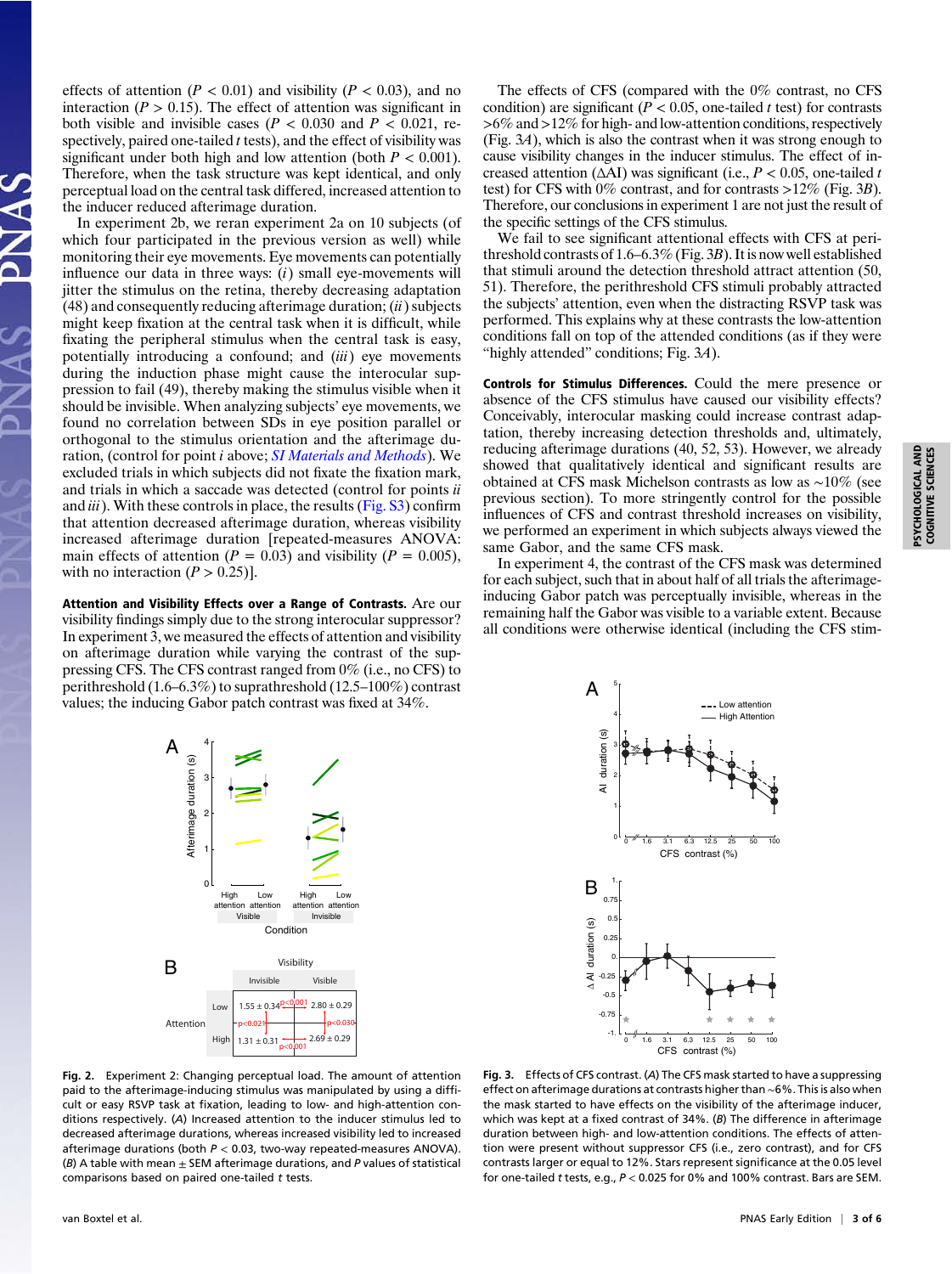effects of attention ( $P < 0.01$ ) and visibility ( $P < 0.03$ ), and no interaction ( $P > 0.15$ ). The effect of attention was significant in both visible and invisible cases ( $P < 0.030$  and  $P < 0.021$ , respectively, paired one-tailed  $t$  tests), and the effect of visibility was significant under both high and low attention (both  $P < 0.001$ ). Therefore, when the task structure was kept identical, and only perceptual load on the central task differed, increased attention to the inducer reduced afterimage duration.

In experiment 2b, we reran experiment 2a on 10 subjects (of which four participated in the previous version as well) while monitoring their eye movements. Eye movements can potentially influence our data in three ways:  $(i)$  small eye-movements will jitter the stimulus on the retina, thereby decreasing adaptation  $(48)$  and consequently reducing afterimage duration;  $(ii)$  subjects might keep fixation at the central task when it is difficult, while fixating the peripheral stimulus when the central task is easy, potentially introducing a confound; and (iii) eye movements during the induction phase might cause the interocular suppression to fail (49), thereby making the stimulus visible when it should be invisible. When analyzing subjects' eye movements, we found no correlation between SDs in eye position parallel or orthogonal to the stimulus orientation and the afterimage duration, (control for point *i* above; *[SI Materials and Methods](http://www.pnas.org/lookup/suppl/doi:10.1073/pnas.0913292107/-/DCSupplemental/pnas.200913292SI.pdf?targetid=nameddest=STXT)*). We excluded trials in which subjects did not fixate the fixation mark, and trials in which a saccade was detected (control for points ii and  $iii$ ). With these controls in place, the results ([Fig. S3\)](http://www.pnas.org/lookup/suppl/doi:10.1073/pnas.0913292107/-/DCSupplemental/pnas.200913292SI.pdf?targetid=nameddest=STXT) confirm that attention decreased afterimage duration, whereas visibility increased afterimage duration [repeated-measures ANOVA: main effects of attention ( $P = 0.03$ ) and visibility ( $P = 0.005$ ), with no interaction  $(P > 0.25)$ ].

Attention and Visibility Effects over a Range of Contrasts. Are our visibility findings simply due to the strong interocular suppressor? In experiment 3, we measured the effects of attention and visibility on afterimage duration while varying the contrast of the suppressing CFS. The CFS contrast ranged from 0% (i.e., no CFS) to perithreshold (1.6–6.3%) to suprathreshold (12.5–100%) contrast values; the inducing Gabor patch contrast was fixed at 34%.

The effects of CFS (compared with the 0% contrast, no CFS condition) are significant ( $P < 0.05$ , one-tailed t test) for contrasts >6% and>12% for high- and low-attention conditions, respectively (Fig. 3A), which is also the contrast when it was strong enough to cause visibility changes in the inducer stimulus. The effect of increased attention ( $\triangle$ AI) was significant (i.e.,  $P < 0.05$ , one-tailed t test) for CFS with 0% contrast, and for contrasts >12% (Fig. 3B). Therefore, our conclusions in experiment 1 are not just the result of the specific settings of the CFS stimulus.

We fail to see significant attentional effects with CFS at perithreshold contrasts of 1.6–6.3% (Fig. 3B). It is now well established that stimuli around the detection threshold attract attention (50, 51). Therefore, the perithreshold CFS stimuli probably attracted the subjects' attention, even when the distracting RSVP task was performed. This explains why at these contrasts the low-attention conditions fall on top of the attended conditions (as if they were "highly attended" conditions; Fig. 3A).

Controls for Stimulus Differences. Could the mere presence or absence of the CFS stimulus have caused our visibility effects? Conceivably, interocular masking could increase contrast adaptation, thereby increasing detection thresholds and, ultimately, reducing afterimage durations (40, 52, 53). However, we already showed that qualitatively identical and significant results are obtained at CFS mask Michelson contrasts as low as ∼10% (see previous section). To more stringently control for the possible influences of CFS and contrast threshold increases on visibility, we performed an experiment in which subjects always viewed the same Gabor, and the same CFS mask.

In experiment 4, the contrast of the CFS mask was determined for each subject, such that in about half of all trials the afterimageinducing Gabor patch was perceptually invisible, whereas in the remaining half the Gabor was visible to a variable extent. Because all conditions were otherwise identical (including the CFS stim-



Fig. 2. Experiment 2: Changing perceptual load. The amount of attention paid to the afterimage-inducing stimulus was manipulated by using a difficult or easy RSVP task at fixation, leading to low- and high-attention conditions respectively. (A) Increased attention to the inducer stimulus led to decreased afterimage durations, whereas increased visibility led to increased afterimage durations (both  $P < 0.03$ , two-way repeated-measures ANOVA). (B) A table with mean  $\pm$  SEM afterimage durations, and P values of statistical comparisons based on paired one-tailed t tests.



Fig. 3. Effects of CFS contrast. (A) The CFS mask started to have a suppressing effect on afterimage durations at contrasts higher than ∼6%. This is also when the mask started to have effects on the visibility of the afterimage inducer, which was kept at a fixed contrast of 34%. (B) The difference in afterimage duration between high- and low-attention conditions. The effects of attention were present without suppressor CFS (i.e., zero contrast), and for CFS contrasts larger or equal to 12%. Stars represent significance at the 0.05 level for one-tailed t tests, e.g.,  $P < 0.025$  for 0% and 100% contrast. Bars are SEM.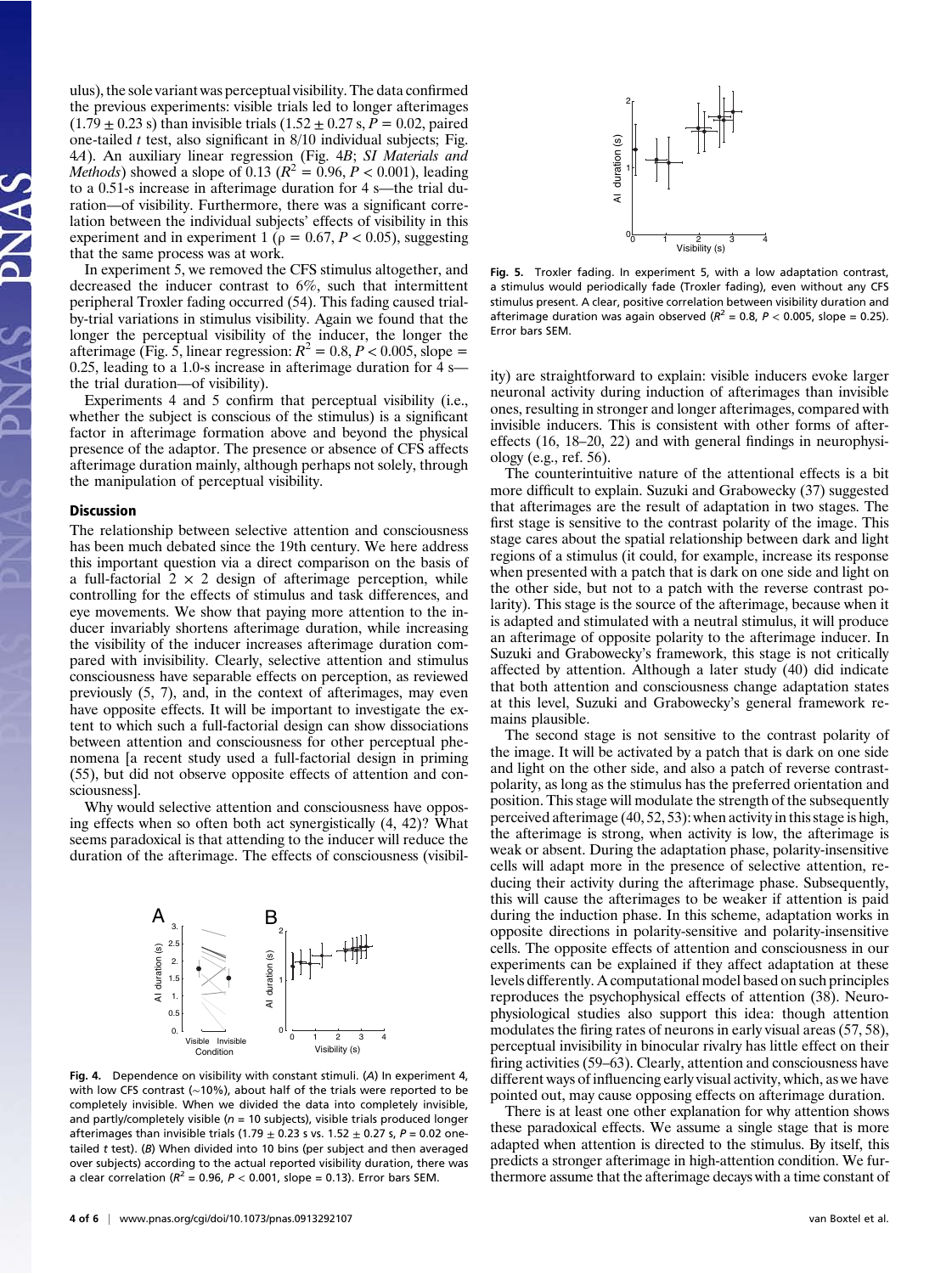ulus), the sole variant was perceptual visibility. The data confirmed the previous experiments: visible trials led to longer afterimages  $(1.79 \pm 0.23 \text{ s})$  than invisible trials  $(1.52 \pm 0.27 \text{ s}, P = 0.02 \text{, paired})$ one-tailed  $t$  test, also significant in  $8/10$  individual subjects; Fig. 4A). An auxiliary linear regression (Fig. 4B; SI Materials and *Methods*) showed a slope of 0.13 ( $R^2 = 0.96$ ,  $P < 0.001$ ), leading to a 0.51-s increase in afterimage duration for 4 s—the trial duration—of visibility. Furthermore, there was a significant correlation between the individual subjects' effects of visibility in this experiment and in experiment 1 ( $\rho = 0.67, P < 0.05$ ), suggesting that the same process was at work.

In experiment 5, we removed the CFS stimulus altogether, and decreased the inducer contrast to 6%, such that intermittent peripheral Troxler fading occurred (54). This fading caused trialby-trial variations in stimulus visibility. Again we found that the longer the perceptual visibility of the inducer, the longer the afterimage (Fig. 5, linear regression:  $R^2 = 0.8, P < 0.005$ , slope = 0.25, leading to a 1.0-s increase in afterimage duration for 4 s the trial duration—of visibility).

Experiments 4 and 5 confirm that perceptual visibility (i.e., whether the subject is conscious of the stimulus) is a significant factor in afterimage formation above and beyond the physical presence of the adaptor. The presence or absence of CFS affects afterimage duration mainly, although perhaps not solely, through the manipulation of perceptual visibility.

#### **Discussion**

The relationship between selective attention and consciousness has been much debated since the 19th century. We here address this important question via a direct comparison on the basis of a full-factorial  $2 \times 2$  design of afterimage perception, while controlling for the effects of stimulus and task differences, and eye movements. We show that paying more attention to the inducer invariably shortens afterimage duration, while increasing the visibility of the inducer increases afterimage duration compared with invisibility. Clearly, selective attention and stimulus consciousness have separable effects on perception, as reviewed previously (5, 7), and, in the context of afterimages, may even have opposite effects. It will be important to investigate the extent to which such a full-factorial design can show dissociations between attention and consciousness for other perceptual phenomena [a recent study used a full-factorial design in priming (55), but did not observe opposite effects of attention and consciousness].

Why would selective attention and consciousness have opposing effects when so often both act synergistically (4, 42)? What seems paradoxical is that attending to the inducer will reduce the duration of the afterimage. The effects of consciousness (visibil-



Fig. 4. Dependence on visibility with constant stimuli. (A) In experiment 4, with low CFS contrast (∼10%), about half of the trials were reported to be completely invisible. When we divided the data into completely invisible, and partly/completely visible ( $n = 10$  subjects), visible trials produced longer afterimages than invisible trials (1.79  $\pm$  0.23 s vs. 1.52  $\pm$  0.27 s, P = 0.02 onetailed  $t$  test). (B) When divided into 10 bins (per subject and then averaged over subjects) according to the actual reported visibility duration, there was a clear correlation ( $R^2 = 0.96$ ,  $P < 0.001$ , slope = 0.13). Error bars SEM.



Fig. 5. Troxler fading. In experiment 5, with a low adaptation contrast, a stimulus would periodically fade (Troxler fading), even without any CFS stimulus present. A clear, positive correlation between visibility duration and afterimage duration was again observed ( $R^2$  = 0.8,  $P$  < 0.005, slope = 0.25). Error bars SEM.

ity) are straightforward to explain: visible inducers evoke larger neuronal activity during induction of afterimages than invisible ones, resulting in stronger and longer afterimages, compared with invisible inducers. This is consistent with other forms of aftereffects (16, 18–20, 22) and with general findings in neurophysiology (e.g., ref. 56).

The counterintuitive nature of the attentional effects is a bit more difficult to explain. Suzuki and Grabowecky (37) suggested that afterimages are the result of adaptation in two stages. The first stage is sensitive to the contrast polarity of the image. This stage cares about the spatial relationship between dark and light regions of a stimulus (it could, for example, increase its response when presented with a patch that is dark on one side and light on the other side, but not to a patch with the reverse contrast polarity). This stage is the source of the afterimage, because when it is adapted and stimulated with a neutral stimulus, it will produce an afterimage of opposite polarity to the afterimage inducer. In Suzuki and Grabowecky's framework, this stage is not critically affected by attention. Although a later study (40) did indicate that both attention and consciousness change adaptation states at this level, Suzuki and Grabowecky's general framework remains plausible.

The second stage is not sensitive to the contrast polarity of the image. It will be activated by a patch that is dark on one side and light on the other side, and also a patch of reverse contrastpolarity, as long as the stimulus has the preferred orientation and position. This stage will modulate the strength of the subsequently perceived afterimage (40, 52, 53): when activity in this stage is high, the afterimage is strong, when activity is low, the afterimage is weak or absent. During the adaptation phase, polarity-insensitive cells will adapt more in the presence of selective attention, reducing their activity during the afterimage phase. Subsequently, this will cause the afterimages to be weaker if attention is paid during the induction phase. In this scheme, adaptation works in opposite directions in polarity-sensitive and polarity-insensitive cells. The opposite effects of attention and consciousness in our experiments can be explained if they affect adaptation at these levels differently. A computational model based on such principles reproduces the psychophysical effects of attention (38). Neurophysiological studies also support this idea: though attention modulates the firing rates of neurons in early visual areas (57, 58), perceptual invisibility in binocular rivalry has little effect on their firing activities (59–63). Clearly, attention and consciousness have different ways of influencing early visual activity, which, as we have pointed out, may cause opposing effects on afterimage duration.

There is at least one other explanation for why attention shows these paradoxical effects. We assume a single stage that is more adapted when attention is directed to the stimulus. By itself, this predicts a stronger afterimage in high-attention condition. We furthermore assume that the afterimage decays with a time constant of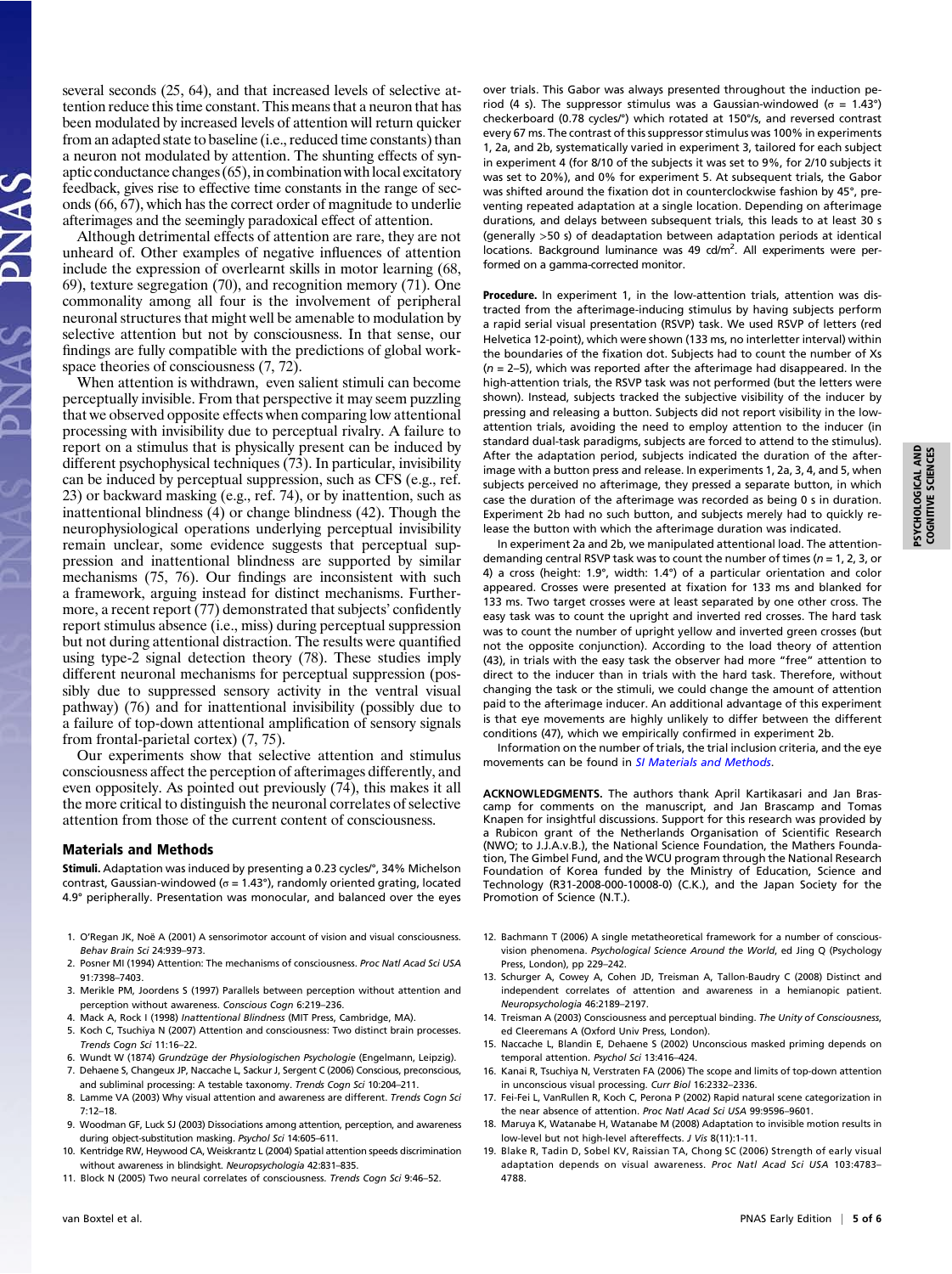several seconds (25, 64), and that increased levels of selective attention reduce this time constant. This means that a neuron that has been modulated by increased levels of attention will return quicker from an adapted state to baseline (i.e., reduced time constants) than a neuron not modulated by attention. The shunting effects of synaptic conductance changes  $(65)$ , in combination with local excitatory feedback, gives rise to effective time constants in the range of seconds (66, 67), which has the correct order of magnitude to underlie afterimages and the seemingly paradoxical effect of attention.

Although detrimental effects of attention are rare, they are not unheard of. Other examples of negative influences of attention include the expression of overlearnt skills in motor learning (68, 69), texture segregation (70), and recognition memory (71). One commonality among all four is the involvement of peripheral neuronal structures that might well be amenable to modulation by selective attention but not by consciousness. In that sense, our findings are fully compatible with the predictions of global workspace theories of consciousness  $(7, 72)$ .

When attention is withdrawn, even salient stimuli can become perceptually invisible. From that perspective it may seem puzzling that we observed opposite effects when comparing low attentional processing with invisibility due to perceptual rivalry. A failure to report on a stimulus that is physically present can be induced by different psychophysical techniques (73). In particular, invisibility can be induced by perceptual suppression, such as CFS (e.g., ref. 23) or backward masking (e.g., ref. 74), or by inattention, such as inattentional blindness (4) or change blindness (42). Though the neurophysiological operations underlying perceptual invisibility remain unclear, some evidence suggests that perceptual suppression and inattentional blindness are supported by similar mechanisms (75, 76). Our findings are inconsistent with such a framework, arguing instead for distinct mechanisms. Furthermore, a recent report (77) demonstrated that subjects' confidently report stimulus absence (i.e., miss) during perceptual suppression but not during attentional distraction. The results were quantified using type-2 signal detection theory (78). These studies imply different neuronal mechanisms for perceptual suppression (possibly due to suppressed sensory activity in the ventral visual pathway) (76) and for inattentional invisibility (possibly due to a failure of top-down attentional amplification of sensory signals from frontal-parietal cortex) (7, 75).

Our experiments show that selective attention and stimulus consciousness affect the perception of afterimages differently, and even oppositely. As pointed out previously (74), this makes it all the more critical to distinguish the neuronal correlates of selective attention from those of the current content of consciousness.

### Materials and Methods

Stimuli. Adaptation was induced by presenting a 0.23 cycles/°, 34% Michelson contrast, Gaussian-windowed ( $σ = 1.43°$ ), randomly oriented grating, located 4.9° peripherally. Presentation was monocular, and balanced over the eyes

- 1. O'Regan JK, Noë A (2001) A sensorimotor account of vision and visual consciousness. Behav Brain Sci 24:939–973.
- 2. Posner MI (1994) Attention: The mechanisms of consciousness. Proc Natl Acad Sci USA 91:7398–7403.
- 3. Merikle PM, Joordens S (1997) Parallels between perception without attention and perception without awareness. Conscious Cogn 6:219–236.
- 4. Mack A, Rock I (1998) Inattentional Blindness (MIT Press, Cambridge, MA).
- 5. Koch C, Tsuchiya N (2007) Attention and consciousness: Two distinct brain processes. Trends Cogn Sci 11:16–22.
- 6. Wundt W (1874) Grundzüge der Physiologischen Psychologie (Engelmann, Leipzig). 7. Dehaene S, Changeux JP, Naccache L, Sackur J, Sergent C (2006) Conscious, preconscious,
- and subliminal processing: A testable taxonomy. Trends Cogn Sci 10:204–211. 8. Lamme VA (2003) Why visual attention and awareness are different. Trends Cogn Sci 7:12–18.
- 9. Woodman GF, Luck SJ (2003) Dissociations among attention, perception, and awareness during object-substitution masking. Psychol Sci 14:605–611.
- 10. Kentridge RW, Heywood CA, Weiskrantz L (2004) Spatial attention speeds discrimination without awareness in blindsight. Neuropsychologia 42:831–835.
- 11. Block N (2005) Two neural correlates of consciousness. Trends Cogn Sci 9:46–52.

over trials. This Gabor was always presented throughout the induction period (4 s). The suppressor stimulus was a Gaussian-windowed (σ = 1.43°) checkerboard (0.78 cycles/°) which rotated at 150°/s, and reversed contrast every 67 ms. The contrast of this suppressor stimulus was 100% in experiments 1, 2a, and 2b, systematically varied in experiment 3, tailored for each subject in experiment 4 (for 8/10 of the subjects it was set to 9%, for 2/10 subjects it was set to 20%), and 0% for experiment 5. At subsequent trials, the Gabor was shifted around the fixation dot in counterclockwise fashion by 45°, preventing repeated adaptation at a single location. Depending on afterimage durations, and delays between subsequent trials, this leads to at least 30 s (generally >50 s) of deadaptation between adaptation periods at identical locations. Background luminance was 49 cd/m<sup>2</sup>. All experiments were performed on a gamma-corrected monitor.

Procedure. In experiment 1, in the low-attention trials, attention was distracted from the afterimage-inducing stimulus by having subjects perform a rapid serial visual presentation (RSVP) task. We used RSVP of letters (red Helvetica 12-point), which were shown (133 ms, no interletter interval) within the boundaries of the fixation dot. Subjects had to count the number of Xs  $(n = 2-5)$ , which was reported after the afterimage had disappeared. In the high-attention trials, the RSVP task was not performed (but the letters were shown). Instead, subjects tracked the subjective visibility of the inducer by pressing and releasing a button. Subjects did not report visibility in the lowattention trials, avoiding the need to employ attention to the inducer (in standard dual-task paradigms, subjects are forced to attend to the stimulus). After the adaptation period, subjects indicated the duration of the afterimage with a button press and release. In experiments 1, 2a, 3, 4, and 5, when subjects perceived no afterimage, they pressed a separate button, in which case the duration of the afterimage was recorded as being 0 s in duration. Experiment 2b had no such button, and subjects merely had to quickly release the button with which the afterimage duration was indicated.

In experiment 2a and 2b, we manipulated attentional load. The attentiondemanding central RSVP task was to count the number of times ( $n = 1, 2, 3$ , or 4) a cross (height: 1.9°, width: 1.4°) of a particular orientation and color appeared. Crosses were presented at fixation for 133 ms and blanked for 133 ms. Two target crosses were at least separated by one other cross. The easy task was to count the upright and inverted red crosses. The hard task was to count the number of upright yellow and inverted green crosses (but not the opposite conjunction). According to the load theory of attention (43), in trials with the easy task the observer had more "free" attention to direct to the inducer than in trials with the hard task. Therefore, without changing the task or the stimuli, we could change the amount of attention paid to the afterimage inducer. An additional advantage of this experiment is that eye movements are highly unlikely to differ between the different conditions (47), which we empirically confirmed in experiment 2b.

Information on the number of trials, the trial inclusion criteria, and the eye movements can be found in [SI Materials and Methods](http://www.pnas.org/lookup/suppl/doi:10.1073/pnas.0913292107/-/DCSupplemental/pnas.200913292SI.pdf?targetid=nameddest=STXT).

ACKNOWLEDGMENTS. The authors thank April Kartikasari and Jan Brascamp for comments on the manuscript, and Jan Brascamp and Tomas Knapen for insightful discussions. Support for this research was provided by a Rubicon grant of the Netherlands Organisation of Scientific Research (NWO; to J.J.A.v.B.), the National Science Foundation, the Mathers Foundation, The Gimbel Fund, and the WCU program through the National Research Foundation of Korea funded by the Ministry of Education, Science and Technology (R31-2008-000-10008-0) (C.K.), and the Japan Society for the Promotion of Science (N.T.).

- 12. Bachmann T (2006) A single metatheoretical framework for a number of consciousvision phenomena. Psychological Science Around the World, ed Jing Q (Psychology Press, London), pp 229–242.
- 13. Schurger A, Cowey A, Cohen JD, Treisman A, Tallon-Baudry C (2008) Distinct and independent correlates of attention and awareness in a hemianopic patient. Neuropsychologia 46:2189–2197.
- 14. Treisman A (2003) Consciousness and perceptual binding. The Unity of Consciousness, ed Cleeremans A (Oxford Univ Press, London).
- 15. Naccache L, Blandin E, Dehaene S (2002) Unconscious masked priming depends on temporal attention. Psychol Sci 13:416–424.
- 16. Kanai R, Tsuchiya N, Verstraten FA (2006) The scope and limits of top-down attention in unconscious visual processing. Curr Biol 16:2332–2336.
- 17. Fei-Fei L, VanRullen R, Koch C, Perona P (2002) Rapid natural scene categorization in the near absence of attention. Proc Natl Acad Sci USA 99:9596–9601.
- 18. Maruya K, Watanabe H, Watanabe M (2008) Adaptation to invisible motion results in low-level but not high-level aftereffects. J Vis 8(11):1-11.
- 19. Blake R, Tadin D, Sobel KV, Raissian TA, Chong SC (2006) Strength of early visual adaptation depends on visual awareness. Proc Natl Acad Sci USA 103:4783– 4788.